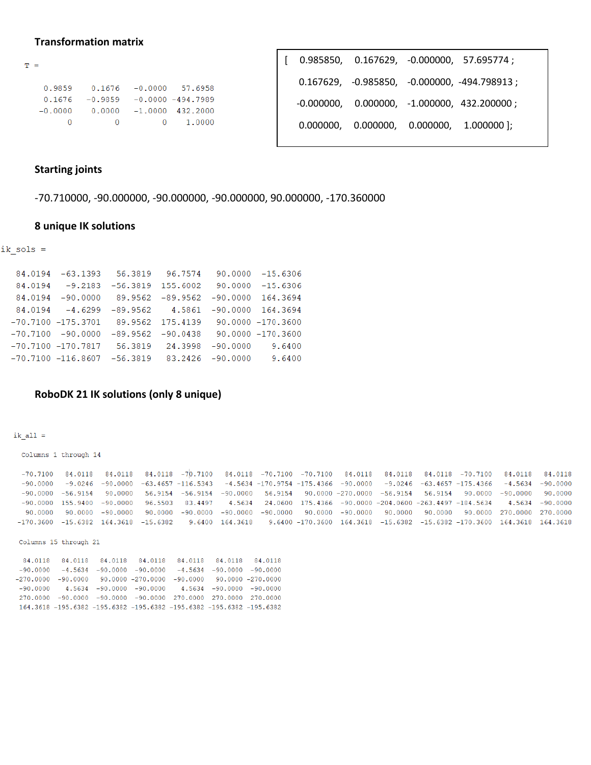## **Transformation matrix**

| T = |           |           |                      |
|-----|-----------|-----------|----------------------|
|     |           |           |                      |
|     | 0.9859    | 0.1676    | $-0.0000$ 57.6958    |
|     | 0.1676    | $-0.9859$ | $-0.0000 - 494.7989$ |
|     | $-0.0000$ | 0.0000    | $-1.0000$ 432.2000   |
|     |           |           | 1.0000               |

|  | $[0.985850, 0.167629, -0.000000, 57.695774]$<br>$0.167629, -0.985850, -0.000000, -494.798913;$<br>$-0.000000$ , $0.000000$ , $-1.000000$ , $432.200000$ ;<br>$0.000000, 0.000000, 0.000000, 1.000000$  ; |
|--|----------------------------------------------------------------------------------------------------------------------------------------------------------------------------------------------------------|

## **Starting joints**

-70.710000, -90.000000, -90.000000, -90.000000, 90.000000, -170.360000

# **8 unique IK solutions**

 $ik_sols =$ 

| 84.0194 -63.1393 56.3819 96.7574 90.0000 -15.6306        |                                        |  |                                       |
|----------------------------------------------------------|----------------------------------------|--|---------------------------------------|
| 84.0194 -9.2183 -56.3819 155.6002 90.0000 -15.6306       |                                        |  |                                       |
| 84.0194 -90.0000 89.9562 -89.9562 -90.0000 164.3694      |                                        |  |                                       |
| 84.0194 -4.6299                                          |                                        |  | $-89.9562$ 4.5861 $-90.0000$ 164.3694 |
| $-70.7100 - 175.3701$ 89.9562 175.4139 90.0000 -170.3600 |                                        |  |                                       |
| $-70.7100 - 90.0000$                                     | $-89.9562 - 90.0438$ 90.0000 -170.3600 |  |                                       |
| $-70.7100 - 170.7817$ 56.3819 24.3998 -90.0000 9.6400    |                                        |  |                                       |
| $-70.7100 - 116.8607 - 56.3819$ 83.2426 -90.0000 9.6400  |                                        |  |                                       |
|                                                          |                                        |  |                                       |

# **RoboDK 21 IK solutions (only 8 unique)**

 $ik\_all =$ 

Columns 1 through 14

|  |  |  |  |  | $-70.7100$ 84.0118 84.0118 84.0118 $-70.7100$ 84.0118 $-70.7100$ $-70.7100$ 84.0118 84.0118 84.0118 $-70.7100$ 84.0118 44.0118                                                                                                  |  |
|--|--|--|--|--|---------------------------------------------------------------------------------------------------------------------------------------------------------------------------------------------------------------------------------|--|
|  |  |  |  |  | $-90.0000$ $-9.0246$ $-90.0000$ $-63.4657$ $-116.5343$ $-4.5634$ $-170.9754$ $-175.4366$ $-90.0000$ $-9.0246$ $-63.4657$ $-175.4366$ $-4.5634$ $-90.0000$                                                                       |  |
|  |  |  |  |  | $-90.0000$ $-56.9154$ $90.0000$ $56.9154$ $-56.9154$ $-90.0000$ $56.9154$ $90.0000$ $-270.0000$ $-56.9154$ $56.9154$ $90.0000$ $-90.0000$ $90.0000$                                                                             |  |
|  |  |  |  |  | $-90.0000$ 155.9400 $-90.0000$ 96.5503 83.4497 4.5634 24.0600 175.4366 -90.0000 -204.0600 -263.4497 -184.5634 4.5634 -90.0000                                                                                                   |  |
|  |  |  |  |  | 90.0000 90.0000 -90.0000 90.0000 -90.0000 -90.0000 -90.0000 90.0000 -90.0000 90.0000 90.0000 90.0000 270.0000 270.0000 -90.0000 -90.0000 -90.0000 -90.0000 -90.0000 -90.0000 -90.0000 -90.0000 -90.0000 -90.0000 -90.0000 -90.0 |  |
|  |  |  |  |  | -170.3600 -15.6382 164.3618 -15.6382 -9.6400 164.3618 -9.6400 -170.3600 164.3618 -15.6382 -15.6382 -170.3600 164.3618 164.3618                                                                                                  |  |

Columns 15 through 21

| 84.0118  84.0118  84.0118  84.0118  84.0118  84.0118  84.0118              |  |  |  |
|----------------------------------------------------------------------------|--|--|--|
| $-90.0000$ $-4.5634$ $-90.0000$ $-90.0000$ $-4.5634$ $-90.0000$ $-90.0000$ |  |  |  |
| -270.0000 -90.0000 -90.0000 -270.0000 -90.0000 -90.0000 -270.0000          |  |  |  |
| $-90.0000$ 4.5634 $-90.0000$ $-90.0000$ 4.5634 $-90.0000$ $-90.0000$       |  |  |  |
| $270.0000 - 90.0000 - 90.0000 - 90.0000270.0000270.0000270.0000$           |  |  |  |
| 164.3618 -195.6382 -195.6382 -195.6382 -195.6382 -195.6382 -195.6382       |  |  |  |
|                                                                            |  |  |  |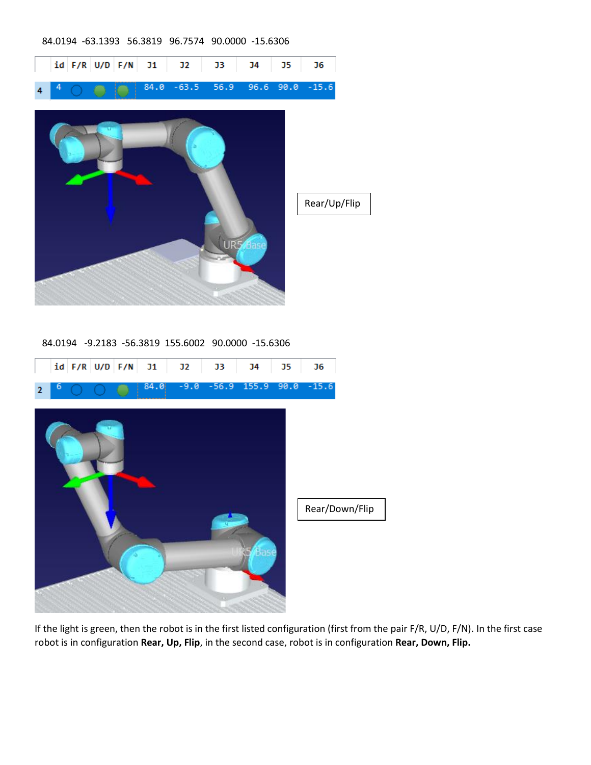### 84.0194 -63.1393 56.3819 96.7574 90.0000 -15.6306

|                |   |  | id F/R U/D F/N | J1   | J2             | J3                                                 | J4        | J5   | J6           |  |
|----------------|---|--|----------------|------|----------------|----------------------------------------------------|-----------|------|--------------|--|
| 4              | 4 |  |                | 84.0 | $-63.5$        | 56.9                                               | 96.6      | 90.0 | $-15.6$      |  |
|                |   |  |                |      |                |                                                    | UR5 Base  |      | Rear/Up/Flip |  |
|                |   |  |                |      |                | 84.0194 -9.2183 -56.3819 155.6002 90.0000 -15.6306 |           |      |              |  |
|                |   |  | id F/R U/D F/N | J1   | J <sub>2</sub> | J3                                                 | <b>J4</b> | J5   | J6           |  |
| $\overline{2}$ | 6 |  |                | 84.0 |                | $-9.0 - 56.9$                                      | 155.9     | 90.0 | $-15.6$      |  |
|                |   |  |                |      |                |                                                    |           |      |              |  |

Rear/Down/FlipBask

If the light is green, then the robot is in the first listed configuration (first from the pair F/R, U/D, F/N). In the first case robot is in configuration **Rear, Up, Flip**, in the second case, robot is in configuration **Rear, Down, Flip.**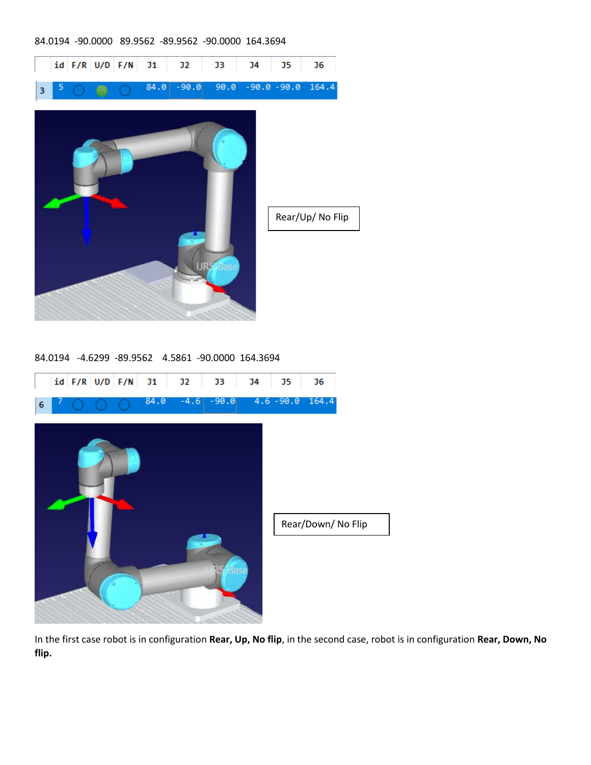#### 84.0194 -90.0000 89.9562 -89.9562 -90.0000 164.3694



84.0194 -4.6299 -89.9562 4.5861 -90.0000 164.3694



In the first case robot is in configuration **Rear, Up, No flip**, in the second case, robot is in configuration **Rear, Down, No flip.**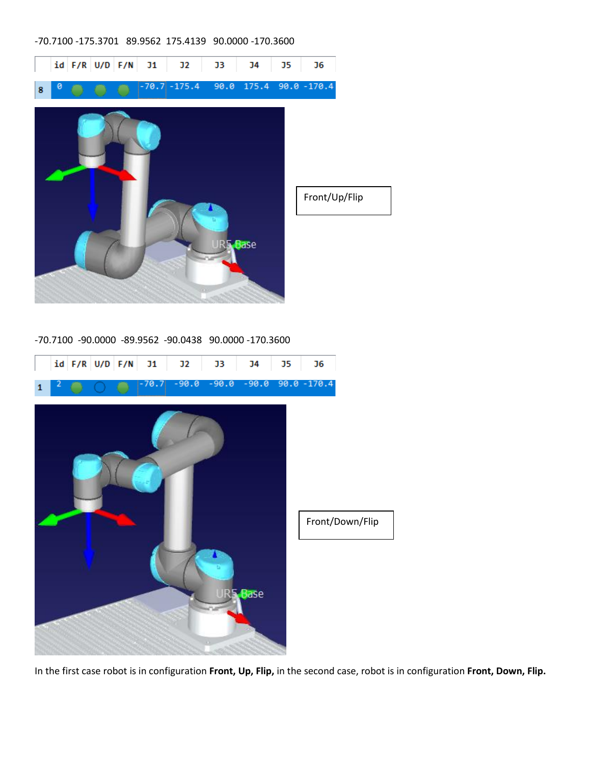### -70.7100 -175.3701 89.9562 175.4139 90.0000 -170.3600



-70.7100 -90.0000 -89.9562 -90.0438 90.0000 -170.3600



In the first case robot is in configuration **Front, Up, Flip,** in the second case, robot is in configuration **Front, Down, Flip.**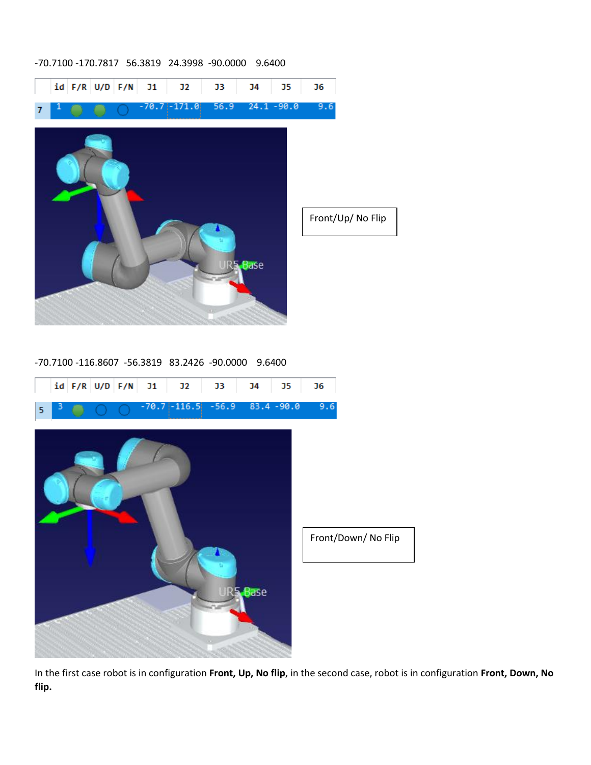#### -70.7100 -170.7817 56.3819 24.3998 -90.0000 9.6400



-70.7100 -116.8607 -56.3819 83.2426 -90.0000 9.6400



In the first case robot is in configuration **Front, Up, No flip**, in the second case, robot is in configuration **Front, Down, No flip.**